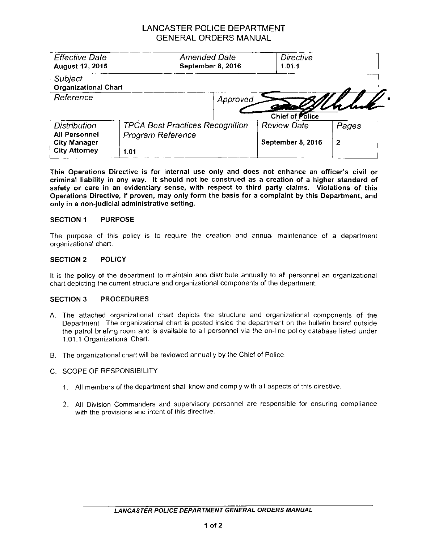# LANCASTER POLICE DEPARTMENT GENERAL ORDERS MANUAL

| <b>Effective Date</b><br><b>August 12, 2015</b>                                            | <b>Amended Date</b><br>September 8, 2016                            |          | <b>Directive</b><br>1.01.1              |            |
|--------------------------------------------------------------------------------------------|---------------------------------------------------------------------|----------|-----------------------------------------|------------|
| <b>Subject</b><br><b>Organizational Chart</b>                                              |                                                                     |          |                                         |            |
| Reference                                                                                  |                                                                     | Approved | Chief of Police                         |            |
| <b>Distribution</b><br><b>All Personnel</b><br><b>City Manager</b><br><b>City Attorney</b> | <b>TPCA Best Practices Recognition</b><br>Program Reference<br>1.01 |          | <b>Review Date</b><br>September 8, 2016 | Pages<br>2 |

**This Operations Directive is for internal use only and does not enhance an officer's civil or criminal liability in any way. It should not be construed as a creation of a higher standard of safety or care in an evidentiary sense, with respect to third party claims. Violations of this Operations Directive, if proven, may only form the basis for a complaint by this Department, and only in a non-judicial administrative setting.**

### **SECTION 1 PURPOSE**

The purpose of this policy is to require the creation and annual maintenance of a department organizational chart.

#### **SECTION 2 POLICY**

It is the policy of the department to maintain and distribute annually to all personnel an organizational chart depicting the current structure and organizational components of the department.

#### **SECTION 3 PROCEDURES**

- A. The attached organizational chart depicts the structure and organizational components of the Department. The organizational chart is posted inside the department on the bulletin board outside the patrol briefing room and is available to all personnel via the on-line policy database listed under 1.01.1 Organizational Chart.
- B. The organizational chart will be reviewed annually by the Chief of Police.
- C. SCOPE OF RESPONSIBILITY
	- 1. All members of the department shall know and comply with all aspects of this directive.
	- 2. All Division Commanders and supervisory personnel are responsible for ensuring compliance with the provisions and intent of this directive.